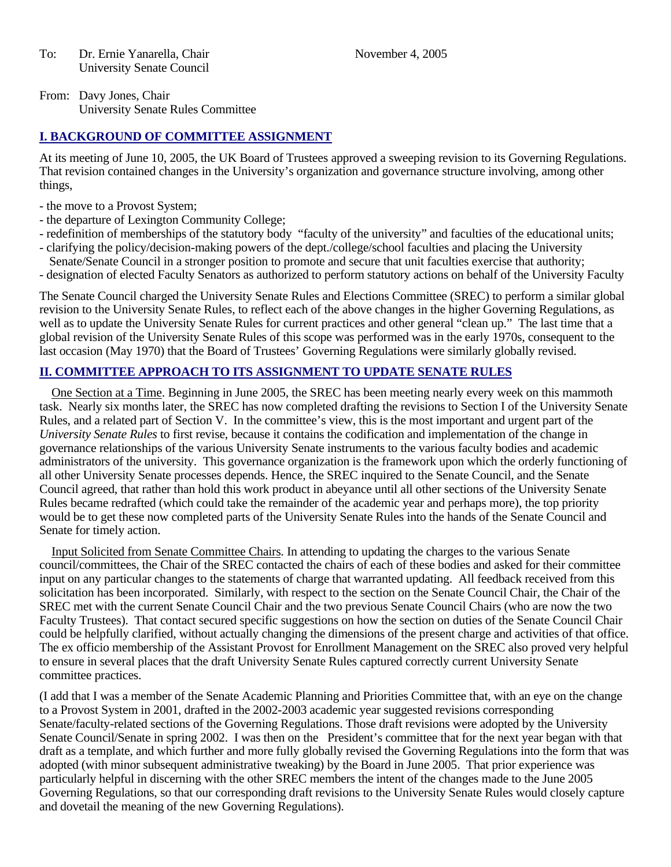To: Dr. Ernie Yanarella, Chair November 4, 2005 University Senate Council

From: Davy Jones, Chair University Senate Rules Committee

## **I. BACKGROUND OF COMMITTEE ASSIGNMENT**

At its meeting of June 10, 2005, the UK Board of Trustees approved a sweeping revision to its Governing Regulations. That revision contained changes in the University's organization and governance structure involving, among other things,

- the move to a Provost System;
- the departure of Lexington Community College;
- redefinition of memberships of the statutory body "faculty of the university" and faculties of the educational units;
- clarifying the policy/decision-making powers of the dept./college/school faculties and placing the University Senate/Senate Council in a stronger position to promote and secure that unit faculties exercise that authority;
- designation of elected Faculty Senators as authorized to perform statutory actions on behalf of the University Faculty

The Senate Council charged the University Senate Rules and Elections Committee (SREC) to perform a similar global revision to the University Senate Rules, to reflect each of the above changes in the higher Governing Regulations, as well as to update the University Senate Rules for current practices and other general "clean up." The last time that a global revision of the University Senate Rules of this scope was performed was in the early 1970s, consequent to the last occasion (May 1970) that the Board of Trustees' Governing Regulations were similarly globally revised.

### **II. COMMITTEE APPROACH TO ITS ASSIGNMENT TO UPDATE SENATE RULES**

 One Section at a Time. Beginning in June 2005, the SREC has been meeting nearly every week on this mammoth task. Nearly six months later, the SREC has now completed drafting the revisions to Section I of the University Senate Rules, and a related part of Section V. In the committee's view, this is the most important and urgent part of the *University Senate Rules* to first revise, because it contains the codification and implementation of the change in governance relationships of the various University Senate instruments to the various faculty bodies and academic administrators of the university. This governance organization is the framework upon which the orderly functioning of all other University Senate processes depends. Hence, the SREC inquired to the Senate Council, and the Senate Council agreed, that rather than hold this work product in abeyance until all other sections of the University Senate Rules became redrafted (which could take the remainder of the academic year and perhaps more), the top priority would be to get these now completed parts of the University Senate Rules into the hands of the Senate Council and Senate for timely action.

 Input Solicited from Senate Committee Chairs. In attending to updating the charges to the various Senate council/committees, the Chair of the SREC contacted the chairs of each of these bodies and asked for their committee input on any particular changes to the statements of charge that warranted updating. All feedback received from this solicitation has been incorporated. Similarly, with respect to the section on the Senate Council Chair, the Chair of the SREC met with the current Senate Council Chair and the two previous Senate Council Chairs (who are now the two Faculty Trustees). That contact secured specific suggestions on how the section on duties of the Senate Council Chair could be helpfully clarified, without actually changing the dimensions of the present charge and activities of that office. The ex officio membership of the Assistant Provost for Enrollment Management on the SREC also proved very helpful to ensure in several places that the draft University Senate Rules captured correctly current University Senate committee practices.

(I add that I was a member of the Senate Academic Planning and Priorities Committee that, with an eye on the change to a Provost System in 2001, drafted in the 2002-2003 academic year suggested revisions corresponding Senate/faculty-related sections of the Governing Regulations. Those draft revisions were adopted by the University Senate Council/Senate in spring 2002. I was then on the President's committee that for the next year began with that draft as a template, and which further and more fully globally revised the Governing Regulations into the form that was adopted (with minor subsequent administrative tweaking) by the Board in June 2005. That prior experience was particularly helpful in discerning with the other SREC members the intent of the changes made to the June 2005 Governing Regulations, so that our corresponding draft revisions to the University Senate Rules would closely capture and dovetail the meaning of the new Governing Regulations).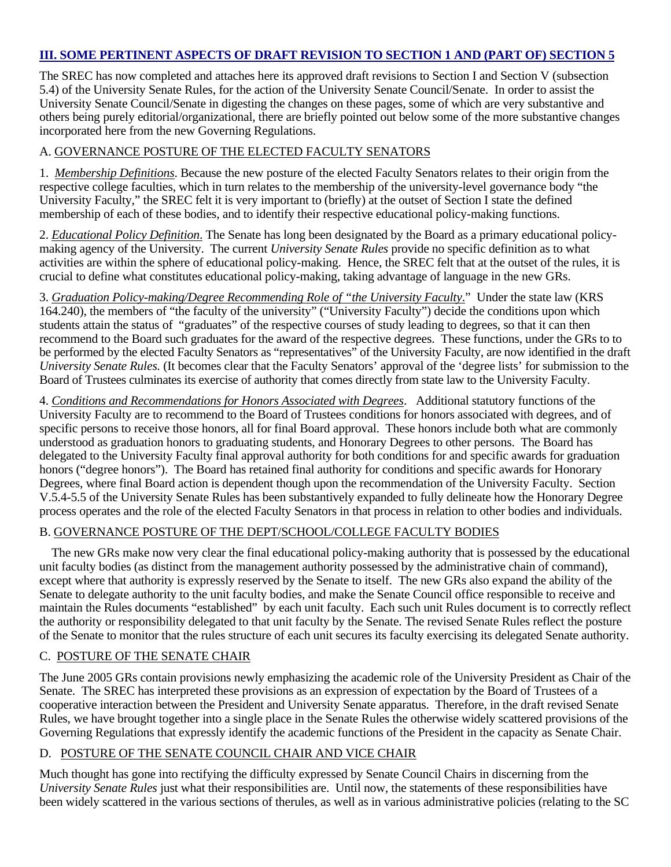#### **III. SOME PERTINENT ASPECTS OF DRAFT REVISION TO SECTION 1 AND (PART OF) SECTION 5**

The SREC has now completed and attaches here its approved draft revisions to Section I and Section V (subsection 5.4) of the University Senate Rules, for the action of the University Senate Council/Senate. In order to assist the University Senate Council/Senate in digesting the changes on these pages, some of which are very substantive and others being purely editorial/organizational, there are briefly pointed out below some of the more substantive changes incorporated here from the new Governing Regulations.

### A. GOVERNANCE POSTURE OF THE ELECTED FACULTY SENATORS

1. *Membership Definitions*. Because the new posture of the elected Faculty Senators relates to their origin from the respective college faculties, which in turn relates to the membership of the university-level governance body "the University Faculty," the SREC felt it is very important to (briefly) at the outset of Section I state the defined membership of each of these bodies, and to identify their respective educational policy-making functions.

2. *Educational Policy Definition*. The Senate has long been designated by the Board as a primary educational policymaking agency of the University. The current *University Senate Rules* provide no specific definition as to what activities are within the sphere of educational policy-making. Hence, the SREC felt that at the outset of the rules, it is crucial to define what constitutes educational policy-making, taking advantage of language in the new GRs.

3. *Graduation Policy-making/Degree Recommending Role of "the University Faculty*." Under the state law (KRS 164.240), the members of "the faculty of the university" ("University Faculty") decide the conditions upon which students attain the status of "graduates" of the respective courses of study leading to degrees, so that it can then recommend to the Board such graduates for the award of the respective degrees. These functions, under the GRs to to be performed by the elected Faculty Senators as "representatives" of the University Faculty, are now identified in the draft *University Senate Rules.* (It becomes clear that the Faculty Senators' approval of the 'degree lists' for submission to the Board of Trustees culminates its exercise of authority that comes directly from state law to the University Faculty.

4. *Conditions and Recommendations for Honors Associated with Degrees*. Additional statutory functions of the University Faculty are to recommend to the Board of Trustees conditions for honors associated with degrees, and of specific persons to receive those honors, all for final Board approval. These honors include both what are commonly understood as graduation honors to graduating students, and Honorary Degrees to other persons. The Board has delegated to the University Faculty final approval authority for both conditions for and specific awards for graduation honors ("degree honors"). The Board has retained final authority for conditions and specific awards for Honorary Degrees, where final Board action is dependent though upon the recommendation of the University Faculty. Section V.5.4-5.5 of the University Senate Rules has been substantively expanded to fully delineate how the Honorary Degree process operates and the role of the elected Faculty Senators in that process in relation to other bodies and individuals.

#### B. GOVERNANCE POSTURE OF THE DEPT/SCHOOL/COLLEGE FACULTY BODIES

 The new GRs make now very clear the final educational policy-making authority that is possessed by the educational unit faculty bodies (as distinct from the management authority possessed by the administrative chain of command), except where that authority is expressly reserved by the Senate to itself. The new GRs also expand the ability of the Senate to delegate authority to the unit faculty bodies, and make the Senate Council office responsible to receive and maintain the Rules documents "established" by each unit faculty. Each such unit Rules document is to correctly reflect the authority or responsibility delegated to that unit faculty by the Senate. The revised Senate Rules reflect the posture of the Senate to monitor that the rules structure of each unit secures its faculty exercising its delegated Senate authority.

#### C. POSTURE OF THE SENATE CHAIR

The June 2005 GRs contain provisions newly emphasizing the academic role of the University President as Chair of the Senate. The SREC has interpreted these provisions as an expression of expectation by the Board of Trustees of a cooperative interaction between the President and University Senate apparatus. Therefore, in the draft revised Senate Rules, we have brought together into a single place in the Senate Rules the otherwise widely scattered provisions of the Governing Regulations that expressly identify the academic functions of the President in the capacity as Senate Chair.

## D. POSTURE OF THE SENATE COUNCIL CHAIR AND VICE CHAIR

Much thought has gone into rectifying the difficulty expressed by Senate Council Chairs in discerning from the *University Senate Rules* just what their responsibilities are. Until now, the statements of these responsibilities have been widely scattered in the various sections of therules, as well as in various administrative policies (relating to the SC